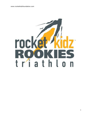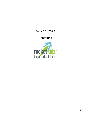# June 26, 2022

Benefiting

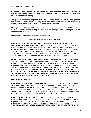**Welcome to the Official 2022 Racer Guide for RocketKidz Rookies!!** We ask that parents please review the enclosed information to ensure safety & a fun time for each child who is racing.

This guide is meant to acquaint you with the race, race site, course and general information. Please note that any race day announcements at the mandatory meeting will supersede all other documents or information.

Although we do not anticipate any course changes, if we should experience weather or other issues necessitating a last minute change, those changes will be announced on race day.

All maps are attached via separate attachments.

## **General Information For All Racers**

**PACKET PICKUP:** We will hold packet pick-up on **Saturday, June 25, 2022, from 2-6 p.m. at Manship YMCA**, 8100 YMCA Plaza Dr., Baton Rouge. We ask that all local racers please come to packet pick-up on Saturday. Please do not wait to pick up your packet on race day if it can be avoided. We will not hold up the race start for tardy racers and we can only process packet pick-up at a given pace. Once transition closes at 7:15 a.m. we will not allow racers in the transition area, so it is important to be ready in advance of arriving at the site if possible.

**BICYCLE SAFETY CHECK/RACE NUMBERS:** Please perform an equipment safety check at home by tightening handlebars, seats, and checking tire air pressure & brakes. Any local bike shop will perform a safety check but there may be costs associated with repairing/replacing parts. We encourage you to go to Southern Bicycle Company (4237 Perkins Road). Make sure bicycle race number is secured to the top bar of their bicycle and helmet race number is affixed in the front middle of the helmet. **ALL RACERS MUST WEAR A HELMET FOR THE BIKE PORTION OF THE RACE AND AT ALL TIMES WHEN RIDING THEIR BIKE AT THE RACE SITE, EVEN BEFORE AND AFTER THE RACE.**

## **RACE DAY SCHEDULE:**

**5:30-6:45: Out-of-town packet pick-up** at Manship YMCA. Again, we strongly encourage all local racers to pick-up their packets on Saturday so that you are prepared and have affixed your racer's running bib to either race belt or t-shirt, as well as put the bike and helmet stickers on your racer's gear the night before. If you are from out of town, please try to arrive early so that you have plenty of time to get your racer ready. Less stress for you and your little one!

**6:30-7:15: Transition open** for racers to check-in and set up their bicycles, helmets, shoes, and race numbers in the bicycle transition area. Everything must be in place by 7:15 a.m. We will not have timing chips for this race. Time will just be kept with a clock. We encourage parents to time your children individually. **THIS IS A CHANGE FROM PREVIOUS YEARS AND IT IS AN UNFORTUNATE**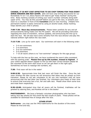**CHANGE, IT IS NOT COST EFFECTIVE TO DO CHIP TIMING FOR THIS EVENT SINCE AWARDS ARE NOT GIVEN. (**We will have chip timing and awards for our Rocketkidz Tri on 7.31.2022) Racers will need to get "body marked" during this time. Body marking consists of writing your racer's number vertically along both upper arms. You may do this yourself before you get to the race, or present your racer to a volunteer in front of the **transition** area on race morning. (Helpful hint: permanent marker is easily removed by using an alcohol swab.) Body marking helps identify your child in photos.

**7:00-7:30: Race day announcements.** Please listen carefully for any and all announcements being made over the PA system. We will be providing instruction regarding the close of transition, various updates, and announcing the line-up to start the race. We will also have some remarks from the race director and play the national anthem right before the race start.

**7:15-7:30:** Line up for swim start. Our swimmers will start in the following order:

- 3-4 non-swimmers
- 3-4 swimmers
- 5-6 non-swimmers
- 5-6 swimmers
- 7-10 all racers (there is no "non-swimmer" category for this age group)

To help with the line-up this year, we have numbered the racer's bibs consistent with the starting order. **Please line-up by bib number, lowest to highest**. If your child's age/bib doesn't appear to line up with their correct division please let the volunteer at the swim start know so we can get them in the right spot. Sometimes we have to reassign bib numbers, etc.

**7:30:** First racer will be in the water!

**9:00-9:30:** Approximate time that last racer will finish the bike. Once the last racer finishes the bike course we will announce that bikes may be picked up from transition. Please do not ask volunteers to let you into transition until we have announced that the last biker has finished. Our volunteers give freely of their time to ensure that everyone has a fun, fair and safe race. Please show them some love and treat them respectfully.

**9:30-10:00:** Anticipated time that all racers will be finished, triathletes will be greeted by adoring fans, and Rookies will be in the books!

**PHOTOGRAPHY:** We have a fantastic volunteer photographer who has been taking race day photos for this event the last couple of years. These photos will be available for download free of charge after the race.

#### **OTHER STUFF**

**Bathrooms** - you may use the YMCA bathrooms for the duration of the event. Please be kind and tidy.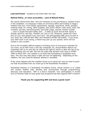#### **Lost and Found** – located by the finish after the race.

#### **Refund Policy...or more accurately... Lack of Refund Policy**

We cannot refund entry fees. This isn't because we are purchasing a vacation home in the Caribbean. It is because it takes an enormous effort and funding to stage a triathlon like ours. From facility agreements, signage, food/drink, shirts, goodies, marking chalk, DJ, timing, office supplies, duty police officers, bike racks, trash, bib numbers, permits, sanctioning fees, barricade usage, awards, finisher medals ....even a couple thousand safety pins.....it adds up quick and all that money is already spent by race day, whether you race or not. (However, please DO come pick up your race packet if you can't race - the shirt/goodies ARE yours as part of your entry fee.) WE DO NOT MAIL OUT PACKETS AFTER THE EVENT. If you know your little racer is not racing, a friend may pick up your packet, which will not contain a race number.

Due to the incredibly difficult logistics of finding room on everyone's Calendar for our event, we do NOT have a rain-day scheduled. So, should Mother Nature not cooperate with us on race day we reserve the right to cancel or alter the race if we feel conditions are not safe. We will not make that decision until close to START TIME on RACE DAY. Our weather is so fickle that forecasting is laughable most days. The race may take place in light rain but not lightening. Depending on the weather, the race could be delayed, altered or cancelled.

If the worst happens and the weather forces us to cancel the race we want to point out that all proceeds from our event go to the Rocketkidz Foundation.

Rocketkidz Rookies is a Rocketkidz Foundation Event, whose mission is to create and sustain healthy kids, families and communities through programming, advocacy and education. RKF is a 501c3 nonprofit. Your participation in events such as Rookies helps to fund great local programming that supports RKF's mission!

## **Thank you for supporting RKF and have a great race!!**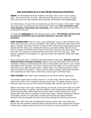#### **Race Information for 3-4 Year Old Non-Swimmers/Swimmers**

**SWIM:** The RocketKidz Rookies Triathlon will begin with a swim in the outdoor pool. The swim will be 15 yards. Kids will enter the pool one at a time 15 yards from the end of the lane and will exit at the end of the lane at the ladder/steps.

As noted above, 3-4 year old non-swimmers are the first racers in the water. Make sure your racer is lined up by bib number and ready to go! **Non-swimmers may wear floaties or life jacket (not provided).** Only ONE parent per non-swimmer is allowed in the pool.

#### 3-4 year-old **swimmers** are the second group to start. **No flotation devices may be used by swimmers and no parents allowed in the pool with the swimmer.**

**BIKE TRANSITION:** After the swim, each participant will go to the transition area. When each swimmer arrives in transition, they need to locate their spot where their gear is waiting. Volunteers will be on hand to help. Next to each participants bicycle should be their shoes, any clothing for bike/run, and bike helmet. Racers do not have to change out of their swim suits for this short race but they will need to have their bib on a race belt or pinned to the front of the shirt they will wear. ONE parent is allowed to accompany 3-4 year-old racers into transition to get their gear for the bike.

Every child must have a helmet for the bike portion of the race. **Helmets must be fastened before leaving transition.** Bikers must walk their bikes into and out of transition. Failure to walk bicycles into and out of transition will result in your child's elimination from the event. Our main concern is for the safety of our racers and we have this rule in place for that reason. Please help us to make sure this is a safe and fun event for the kiddos. There will be a clearly marked 'mount/dismount line' with volunteers to show racers where they need to get on/off their bikes.

**BIKE COURSE:** Each biker must complete one full lap for his/her age group.

One parent is permitted on bike course for 3-4 year-olds, both divisions. Please make every effort not to interfere with any other rider. For safety reasons, we ask that you make sure you do not come into contact with another bike at any time.

Bikers must stay to the right unless passing on the left. In the event that your child becomes too tired to continue, has an accident or has mechanical problems, there will be bicycle safety staff located around the entire course to assist your child. Please allow the course volunteers to assist the racers. Training wheels are allowed at all ages, and for 3-4 year-olds, scooters and tricycles are also permitted. Helmets must be fastened and worn at all times during the entire bicycle event.

**RUN:** After each racer has completed the bicycle course, they must walk their bicycle into the transition area and return their bicycle to their original bike location. Pinned race numbers must be worn for the entire run event (most racers will still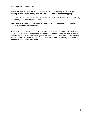have it on from the bike course). Runners will follow a running route through the parking lot that will be clearly marked with cones and/or pennant flagging.

Each racer must complete the run course and cross the finish line. ONE parent may accompany 3-4 year-olds on the run.

**RACE FINISH:** Each child will receive a finisher medal. There will be water and snacks at the finish for the racers.

PLEASE DO YOUR BEST NOT TO INTERFERE WITH OTHER RACERS STILL ON THE COURSE. We ask that you respect the other kids as they complete their event. We want to make sure the last racers gets a fair and uncongested race course just like the first racer. If for any reason you get separated from your racer, please see the announcer and we will help you reunite.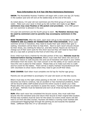#### **Race Information for 5-6 Year Old Non-Swimmers/Swimmers**

**SWIM:** The RocketKidz Rookies Triathlon will begin with a swim one lap (25 Yards) in the outdoor pool and will exit at the ladder/step at the end of the lane.

As noted above, 5-6 year old non-swimmers are the third group of racers in the water. Make sure your racer is lined up by bib number and ready to go! **Nonswimmers may wear floaties or life jacket (not provided).** Only ONE parent per non-swimmer is allowed in the pool.

5-6 year-old swimmers are the fourth group to start. **No flotation devices may be used by swimmers and no parents may accompany swimmers in the pool.**

**BIKE TRANSITION:** After the swim, each racer will go to the transition area. **NO PARENTS ARE ALLOWED IN TRANSITION FOR THIS DIVISION.** When each swimmer arrives in transition, they need to locate their spot where their gear is waiting. Volunteers will be there to help them. Next to each racer's bicycle should be their shoes, any clothing for bike/run, and bike helmet. Racers do not have to change out of their swim suits for this short race but they will need to have their bib on a race belt or pinned to the front of shirt they will wear.

Every child must have a helmet for the bike portion of the race. **Helmets must be fastened before leaving transition.** Bikers must walk their bikes into and out of transition. Failure to walk bicycles into and out of transition will result in your child's elimination from the event. Our main concern is for the safety of our racers and we have this rule in place for that reason. Please help us to make sure this is a safe and fun event for the kiddos. There will be a clearly marked 'mount/dismount line' with volunteers to show racers where they need to get on/off their bikes.

**BIKE COURSE:** Each biker must complete one full lap for his/her age group.

Parents are not permitted to accompany 5-6 year-old racers on the bike course.

Bikers must stay to the right unless passing on the left. In the event that your child becomes too tired to continue, has an accident or has mechanical problems, there will be bicycle safety staff located around the entire course to assist your child. Please allow the course volunteers to assist the racers. Training wheels are allowed at all ages. Helmets must be fastened and worn at all times during the entire bicycle event.

**RUN:** After each racer has completed the bicycle course, they must walk their bicycle into the transition area and return their bicycle to their original bike location. Pinned race numbers must be worn for the entire run event (most racers will still have it on from the bike course). Runners will follow a running route marked with cones/pennant flagging/tape through the parking lot and towards the baseball fields. (different than the 3-4 yr old division run).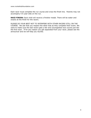Each racer must complete the run course and cross the finish line. Parents may not accompany 5-6 year-olds on the run.

**RACE FINISH:** Each child will receive a finisher medal. There will be water and snacks at the finish for the racers.

PLEASE DO YOUR BEST NOT TO INTERFERE WITH OTHER RACERS STILL ON THE COURSE. We ask that you respect the other kids as they complete their event. We want to make sure the last racers gets a fair and uncongested race course just like the first racer. If for any reason you get separated from your racer, please see the announcer and we will help you reunite.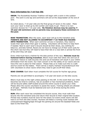## **Race Information for 7-10 Year Old**

**SWIM:** The RocketKidz Rookies Triathlon will begin with a swim in the outdoor pool. The swim is one lap and swimmers will exit at the steps/ladder at the end of lane.

As noted above, 7-10 year-olds are the final group of racers in the water. Make sure your racer is lined up by bib number and ready to go! There is no nonswimmer division for 7-10 year-olds. **No flotation devices may be used by 7- 10 year-old swimmers and no parents may accompany these swimmers in the pool.**

**BIKE TRANSITION:** After the swim, each racer will go to the transition area. **PARENTS ARE NOT ALLOWED TO ACCOMPANY 7-10 YEAR-OLD RACERS INTO TRANSITION.** When each swimmer arrives in transition, they need to locate their spot where their gear is waiting. Volunteers will be there to help them if needed. Next to each racer's bicycle should be their shoes, any clothing for bike/run, and bike helmet. Racers do not have to change out of their swim suits for this short race but they will need to have their bib on a race belt or pinned the front of the shirt they will wear.

Every child must have a helmet for the bike portion of the race. **Helmets must be fastened before leaving transition.** Bikers must walk their bikes into and out of transition. Failure to walk bicycles into and out of transition will result in your child's elimination from the event. Our main concern is for the safety of our racers and we have this rule in place for that reason. Please help us to make sure this is a safe and fun event for the kiddos. There will be a clearly marked 'mount/dismount line' with volunteers to show racers where they need to get on/off their bikes.

**BIKE COURSE:** Each biker must complete the full course for his/her age group.

Parents are not permitted to accompany 7-10 year-old racers on the bike course.

Bikers must stay to the right unless passing on the left. In the event that your child becomes too tired to continue, has an accident or has mechanical problems, there will be bicycle safety staff located around the entire course to assist your child. Please allow the course volunteers to assist the racers. Training wheels are allowed at all ages. Helmets must be fastened and worn at all times during the entire bicycle event.

**RUN:** After each racer has completed the bicycle course, they must walk their bicycle into the transition area and return their bicycle to their original bike location. Pinned race numbers must be worn for the entire run event (most racers will still have it on from the bike course). Runners will follow a running route marked with cones/pennant flagging/tape through the parking lot around the baseball fields and back to the finish line.